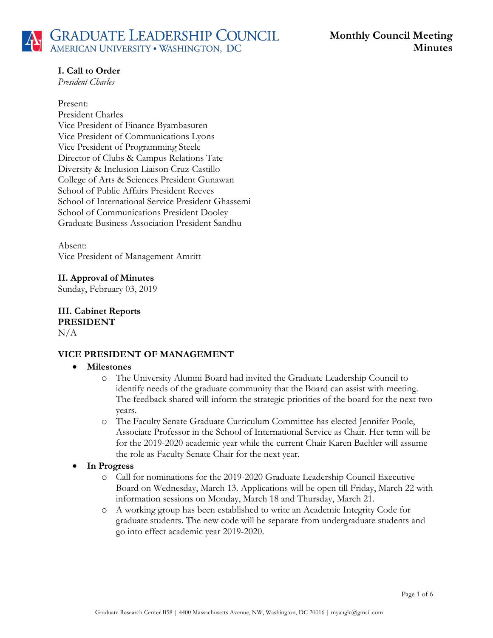# **I. Call to Order**

*President Charles*

#### Present:

President Charles Vice President of Finance Byambasuren Vice President of Communications Lyons Vice President of Programming Steele Director of Clubs & Campus Relations Tate Diversity & Inclusion Liaison Cruz-Castillo College of Arts & Sciences President Gunawan School of Public Affairs President Reeves School of International Service President Ghassemi School of Communications President Dooley Graduate Business Association President Sandhu

Absent: Vice President of Management Amritt

### **II. Approval of Minutes** Sunday, February 03, 2019

**III. Cabinet Reports PRESIDENT**  $N/A$ 

## **VICE PRESIDENT OF MANAGEMENT**

### • **Milestones**

- o The University Alumni Board had invited the Graduate Leadership Council to identify needs of the graduate community that the Board can assist with meeting. The feedback shared will inform the strategic priorities of the board for the next two years.
- o The Faculty Senate Graduate Curriculum Committee has elected Jennifer Poole, Associate Professor in the School of International Service as Chair. Her term will be for the 2019-2020 academic year while the current Chair Karen Baehler will assume the role as Faculty Senate Chair for the next year.

## • **In Progress**

- o Call for nominations for the 2019-2020 Graduate Leadership Council Executive Board on Wednesday, March 13. Applications will be open till Friday, March 22 with information sessions on Monday, March 18 and Thursday, March 21.
- o A working group has been established to write an Academic Integrity Code for graduate students. The new code will be separate from undergraduate students and go into effect academic year 2019-2020.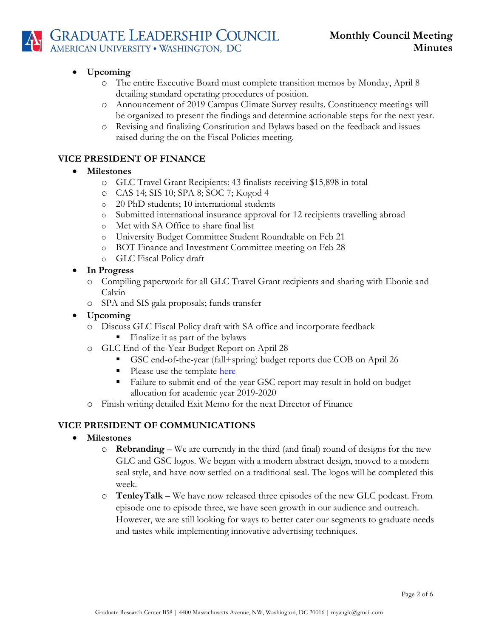

## • **Upcoming**

- o The entire Executive Board must complete transition memos by Monday, April 8 detailing standard operating procedures of position.
- o Announcement of 2019 Campus Climate Survey results. Constituency meetings will be organized to present the findings and determine actionable steps for the next year.
- o Revising and finalizing Constitution and Bylaws based on the feedback and issues raised during the on the Fiscal Policies meeting.

## **VICE PRESIDENT OF FINANCE**

## • **Milestones**

- o GLC Travel Grant Recipients: 43 finalists receiving \$15,898 in total
- o CAS 14; SIS 10; SPA 8; SOC 7; Kogod 4
- o 20 PhD students; 10 international students
- o Submitted international insurance approval for 12 recipients travelling abroad
- o Met with SA Office to share final list
- o University Budget Committee Student Roundtable on Feb 21
- o BOT Finance and Investment Committee meeting on Feb 28
- o GLC Fiscal Policy draft
- **In Progress**
	- o Compiling paperwork for all GLC Travel Grant recipients and sharing with Ebonie and Calvin
	- o SPA and SIS gala proposals; funds transfer
- **Upcoming**
	- o Discuss GLC Fiscal Policy draft with SA office and incorporate feedback
		- Finalize it as part of the bylaws
	- o GLC End-of-the-Year Budget Report on April 28
		- § GSC end-of-the-year (fall+spring) budget reports due COB on April 26
		- Please use the template here
		- Failure to submit end-of-the-year GSC report may result in hold on budget allocation for academic year 2019-2020
	- o Finish writing detailed Exit Memo for the next Director of Finance

## **VICE PRESIDENT OF COMMUNICATIONS**

## • **Milestones**

- o **Rebranding** We are currently in the third (and final) round of designs for the new GLC and GSC logos. We began with a modern abstract design, moved to a modern seal style, and have now settled on a traditional seal. The logos will be completed this week.
- o **TenleyTalk** We have now released three episodes of the new GLC podcast. From episode one to episode three, we have seen growth in our audience and outreach. However, we are still looking for ways to better cater our segments to graduate needs and tastes while implementing innovative advertising techniques.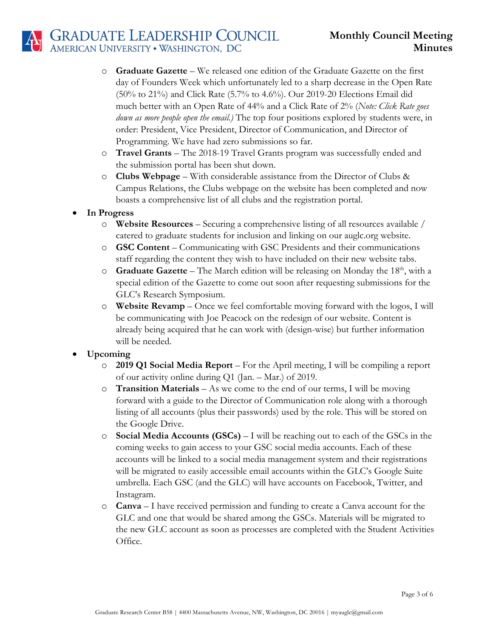# **GRADUATE LEADERSHIP COUNCIL**<br>AMERICAN UNIVERSITY • WASHINGTON, DC

- o **Graduate Gazette** We released one edition of the Graduate Gazette on the first day of Founders Week which unfortunately led to a sharp decrease in the Open Rate (50% to 21%) and Click Rate (5.7% to 4.6%). Our 2019-20 Elections Email did much better with an Open Rate of 44% and a Click Rate of 2% (*Note: Click Rate goes down as more people open the email.)* The top four positions explored by students were, in order: President, Vice President, Director of Communication, and Director of Programming. We have had zero submissions so far.
- o **Travel Grants**  The 2018-19 Travel Grants program was successfully ended and the submission portal has been shut down.
- o **Clubs Webpage** With considerable assistance from the Director of Clubs & Campus Relations, the Clubs webpage on the website has been completed and now boasts a comprehensive list of all clubs and the registration portal.
- **In Progress**
	- o **Website Resources** Securing a comprehensive listing of all resources available / catered to graduate students for inclusion and linking on our auglc.org website.
	- o **GSC Content** Communicating with GSC Presidents and their communications staff regarding the content they wish to have included on their new website tabs.
	- o **Graduate Gazette** The March edition will be releasing on Monday the 18th, with a special edition of the Gazette to come out soon after requesting submissions for the GLC's Research Symposium.
	- o **Website Revamp** Once we feel comfortable moving forward with the logos, I will be communicating with Joe Peacock on the redesign of our website. Content is already being acquired that he can work with (design-wise) but further information will be needed.
- **Upcoming** 
	- o **2019 Q1 Social Media Report** For the April meeting, I will be compiling a report of our activity online during Q1 (Jan. – Mar.) of 2019.
	- o **Transition Materials** As we come to the end of our terms, I will be moving forward with a guide to the Director of Communication role along with a thorough listing of all accounts (plus their passwords) used by the role. This will be stored on the Google Drive.
	- o **Social Media Accounts (GSCs)** I will be reaching out to each of the GSCs in the coming weeks to gain access to your GSC social media accounts. Each of these accounts will be linked to a social media management system and their registrations will be migrated to easily accessible email accounts within the GLC's Google Suite umbrella. Each GSC (and the GLC) will have accounts on Facebook, Twitter, and Instagram.
	- o **Canva** I have received permission and funding to create a Canva account for the GLC and one that would be shared among the GSCs. Materials will be migrated to the new GLC account as soon as processes are completed with the Student Activities Office.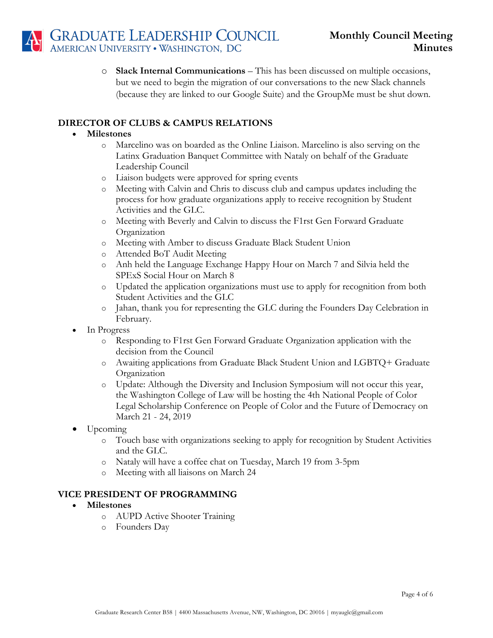o **Slack Internal Communications** – This has been discussed on multiple occasions, but we need to begin the migration of our conversations to the new Slack channels (because they are linked to our Google Suite) and the GroupMe must be shut down.

## **DIRECTOR OF CLUBS & CAMPUS RELATIONS**

### • **Milestones**

- o Marcelino was on boarded as the Online Liaison. Marcelino is also serving on the Latinx Graduation Banquet Committee with Nataly on behalf of the Graduate Leadership Council
- o Liaison budgets were approved for spring events
- o Meeting with Calvin and Chris to discuss club and campus updates including the process for how graduate organizations apply to receive recognition by Student Activities and the GLC.
- o Meeting with Beverly and Calvin to discuss the F1rst Gen Forward Graduate Organization
- o Meeting with Amber to discuss Graduate Black Student Union
- o Attended BoT Audit Meeting
- o Anh held the Language Exchange Happy Hour on March 7 and Silvia held the SPExS Social Hour on March 8
- o Updated the application organizations must use to apply for recognition from both Student Activities and the GLC
- o Jahan, thank you for representing the GLC during the Founders Day Celebration in February.
- In Progress
	- o Responding to F1rst Gen Forward Graduate Organization application with the decision from the Council
	- o Awaiting applications from Graduate Black Student Union and LGBTQ+ Graduate **Organization**
	- o Update: Although the Diversity and Inclusion Symposium will not occur this year, the Washington College of Law will be hosting the 4th National People of Color Legal Scholarship Conference on People of Color and the Future of Democracy on March 21 - 24, 2019
- Upcoming
	- o Touch base with organizations seeking to apply for recognition by Student Activities and the GLC.
	- o Nataly will have a coffee chat on Tuesday, March 19 from 3-5pm
	- o Meeting with all liaisons on March 24

### **VICE PRESIDENT OF PROGRAMMING**

### • **Milestones**

- o AUPD Active Shooter Training
- o Founders Day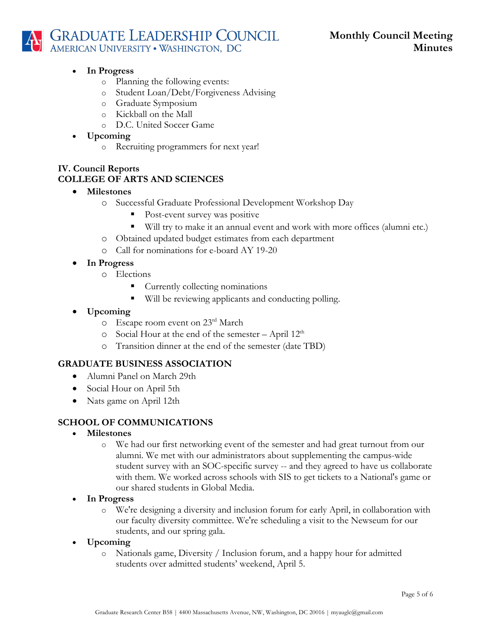# **GRADUATE LEADERSHIP COUNCIL**<br>AMERICAN UNIVERSITY • WASHINGTON, DC

- **In Progress**
	- o Planning the following events:
	- o Student Loan/Debt/Forgiveness Advising
	- o Graduate Symposium
	- o Kickball on the Mall
	- o D.C. United Soccer Game
- **Upcoming**
	- o Recruiting programmers for next year!

# **IV. Council Reports COLLEGE OF ARTS AND SCIENCES**

## • **Milestones**

- o Successful Graduate Professional Development Workshop Day
	- Post-event survey was positive
	- Will try to make it an annual event and work with more offices (alumni etc.)
- o Obtained updated budget estimates from each department
- o Call for nominations for e-board AY 19-20
- **In Progress** 
	- o Elections
		- Currently collecting nominations
		- Will be reviewing applicants and conducting polling.
- **Upcoming**
	- o Escape room event on 23rd March
	- $\circ$  Social Hour at the end of the semester April 12<sup>th</sup>
	- o Transition dinner at the end of the semester (date TBD)

## **GRADUATE BUSINESS ASSOCIATION**

- Alumni Panel on March 29th
- Social Hour on April 5th
- Nats game on April 12th

## **SCHOOL OF COMMUNICATIONS**

- **Milestones**
	- o We had our first networking event of the semester and had great turnout from our alumni. We met with our administrators about supplementing the campus-wide student survey with an SOC-specific survey -- and they agreed to have us collaborate with them. We worked across schools with SIS to get tickets to a National's game or our shared students in Global Media.
- **In Progress**
	- o We're designing a diversity and inclusion forum for early April, in collaboration with our faculty diversity committee. We're scheduling a visit to the Newseum for our students, and our spring gala.
- **Upcoming**
	- o Nationals game, Diversity / Inclusion forum, and a happy hour for admitted students over admitted students' weekend, April 5.